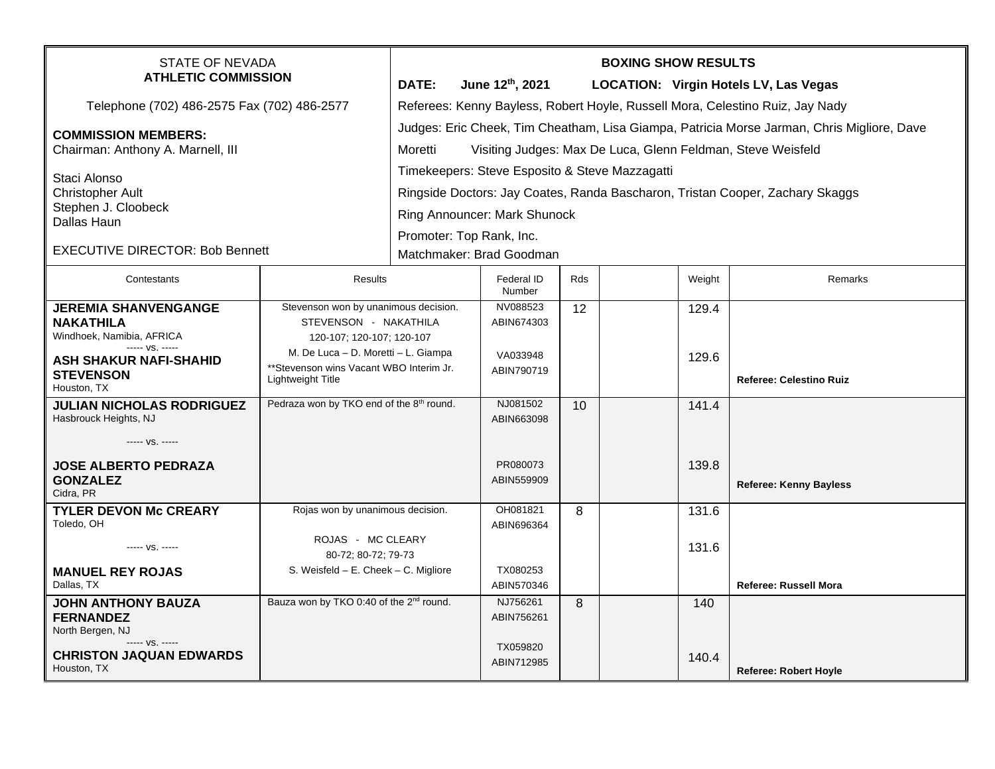| <b>STATE OF NEVADA</b><br><b>ATHLETIC COMMISSION</b>              |                                                                  | <b>BOXING SHOW RESULTS</b>                                                                                                                                           |                          |     |  |        |                                       |  |  |
|-------------------------------------------------------------------|------------------------------------------------------------------|----------------------------------------------------------------------------------------------------------------------------------------------------------------------|--------------------------|-----|--|--------|---------------------------------------|--|--|
|                                                                   |                                                                  | DATE:                                                                                                                                                                | June 12th, 2021          |     |  |        | LOCATION: Virgin Hotels LV, Las Vegas |  |  |
| Telephone (702) 486-2575 Fax (702) 486-2577                       |                                                                  | Referees: Kenny Bayless, Robert Hoyle, Russell Mora, Celestino Ruiz, Jay Nady                                                                                        |                          |     |  |        |                                       |  |  |
| <b>COMMISSION MEMBERS:</b><br>Chairman: Anthony A. Marnell, III   |                                                                  | Judges: Eric Cheek, Tim Cheatham, Lisa Giampa, Patricia Morse Jarman, Chris Migliore, Dave<br>Moretti<br>Visiting Judges: Max De Luca, Glenn Feldman, Steve Weisfeld |                          |     |  |        |                                       |  |  |
| Staci Alonso<br><b>Christopher Ault</b>                           |                                                                  | Timekeepers: Steve Esposito & Steve Mazzagatti                                                                                                                       |                          |     |  |        |                                       |  |  |
|                                                                   |                                                                  | Ringside Doctors: Jay Coates, Randa Bascharon, Tristan Cooper, Zachary Skaggs                                                                                        |                          |     |  |        |                                       |  |  |
| Stephen J. Cloobeck                                               |                                                                  | Ring Announcer: Mark Shunock                                                                                                                                         |                          |     |  |        |                                       |  |  |
| Dallas Haun                                                       |                                                                  |                                                                                                                                                                      | Promoter: Top Rank, Inc. |     |  |        |                                       |  |  |
| <b>EXECUTIVE DIRECTOR: Bob Bennett</b>                            |                                                                  | Matchmaker: Brad Goodman                                                                                                                                             |                          |     |  |        |                                       |  |  |
| Contestants                                                       | <b>Results</b>                                                   |                                                                                                                                                                      | Federal ID<br>Number     | Rds |  | Weight | Remarks                               |  |  |
| <b>JEREMIA SHANVENGANGE</b><br><b>NAKATHILA</b>                   | Stevenson won by unanimous decision.<br>STEVENSON - NAKATHILA    |                                                                                                                                                                      | NV088523<br>ABIN674303   | 12  |  | 129.4  |                                       |  |  |
| Windhoek, Namibia, AFRICA<br>----- VS. -----                      | 120-107; 120-107; 120-107<br>M. De Luca - D. Moretti - L. Giampa |                                                                                                                                                                      |                          |     |  |        |                                       |  |  |
| ASH SHAKUR NAFI-SHAHID<br><b>STEVENSON</b><br>Houston, TX         | **Stevenson wins Vacant WBO Interim Jr.<br>Lightweight Title     |                                                                                                                                                                      | VA033948<br>ABIN790719   |     |  | 129.6  | <b>Referee: Celestino Ruiz</b>        |  |  |
| <b>JULIAN NICHOLAS RODRIGUEZ</b><br>Hasbrouck Heights, NJ         | Pedraza won by TKO end of the 8 <sup>th</sup> round.             |                                                                                                                                                                      | NJ081502<br>ABIN663098   | 10  |  | 141.4  |                                       |  |  |
| ----- VS. -----                                                   |                                                                  |                                                                                                                                                                      |                          |     |  |        |                                       |  |  |
| <b>JOSE ALBERTO PEDRAZA</b><br><b>GONZALEZ</b>                    |                                                                  |                                                                                                                                                                      | PR080073<br>ABIN559909   |     |  | 139.8  | <b>Referee: Kenny Bayless</b>         |  |  |
| Cidra, PR<br><b>TYLER DEVON Mc CREARY</b>                         |                                                                  |                                                                                                                                                                      | OH081821                 | 8   |  | 131.6  |                                       |  |  |
| Toledo, OH                                                        | Rojas won by unanimous decision.                                 |                                                                                                                                                                      | ABIN696364               |     |  |        |                                       |  |  |
| ----- VS. -----                                                   | ROJAS - MC CLEARY<br>80-72; 80-72; 79-73                         |                                                                                                                                                                      |                          |     |  | 131.6  |                                       |  |  |
| <b>MANUEL REY ROJAS</b><br>Dallas, TX                             | S. Weisfeld $- E$ . Cheek $- C$ . Migliore                       |                                                                                                                                                                      | TX080253<br>ABIN570346   |     |  |        | <b>Referee: Russell Mora</b>          |  |  |
| <b>JOHN ANTHONY BAUZA</b><br><b>FERNANDEZ</b><br>North Bergen, NJ | Bauza won by TKO 0:40 of the 2 <sup>nd</sup> round.              |                                                                                                                                                                      | NJ756261<br>ABIN756261   | 8   |  | 140    |                                       |  |  |
| ----- VS. -----<br><b>CHRISTON JAQUAN EDWARDS</b><br>Houston, TX  |                                                                  |                                                                                                                                                                      | TX059820<br>ABIN712985   |     |  | 140.4  | <b>Referee: Robert Hoyle</b>          |  |  |